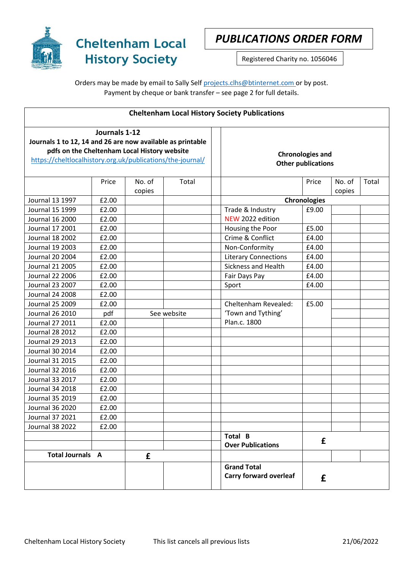

## *PUBLICATIONS ORDER FORM*

Registered Charity no. 1056046

## Orders may be made by email to Sally Sel[f projects.clhs@btinternet.com](mailto:projects.clhs@btinternet.com) or by post. Payment by cheque or bank transfer – see page 2 for full details.

|                                                                                                            |               |                  |             | <b>Cheltenham Local History Society Publications</b> |                           |                  |       |
|------------------------------------------------------------------------------------------------------------|---------------|------------------|-------------|------------------------------------------------------|---------------------------|------------------|-------|
| Journals 1 to 12, 14 and 26 are now available as printable<br>pdfs on the Cheltenham Local History website | Journals 1-12 |                  |             | <b>Chronologies and</b>                              |                           |                  |       |
| https://cheltlocalhistory.org.uk/publications/the-journal/                                                 |               |                  |             |                                                      | <b>Other publications</b> |                  |       |
|                                                                                                            | Price         | No. of<br>copies | Total       |                                                      | Price                     | No. of<br>copies | Total |
| Journal 13 1997                                                                                            | £2.00         |                  |             |                                                      | <b>Chronologies</b>       |                  |       |
| Journal 15 1999                                                                                            | £2.00         |                  |             | Trade & Industry                                     | £9.00                     |                  |       |
| Journal 16 2000                                                                                            | £2.00         |                  |             | NEW 2022 edition                                     |                           |                  |       |
| Journal 17 2001                                                                                            | £2.00         |                  |             | Housing the Poor                                     | £5.00                     |                  |       |
| Journal 18 2002                                                                                            | £2.00         |                  |             | Crime & Conflict                                     | £4.00                     |                  |       |
| <b>Journal 19 2003</b>                                                                                     | £2.00         |                  |             | Non-Conformity                                       | £4.00                     |                  |       |
| <b>Journal 20 2004</b>                                                                                     | £2.00         |                  |             | <b>Literary Connections</b>                          | £4.00                     |                  |       |
| Journal 21 2005                                                                                            | £2.00         |                  |             | Sickness and Health                                  | £4.00                     |                  |       |
| Journal 22 2006                                                                                            | £2.00         |                  |             | Fair Days Pay                                        | £4.00                     |                  |       |
| Journal 23 2007                                                                                            | £2.00         |                  |             | Sport                                                | £4.00                     |                  |       |
| <b>Journal 24 2008</b>                                                                                     | £2.00         |                  |             |                                                      |                           |                  |       |
| Journal 25 2009                                                                                            | £2.00         |                  |             | Cheltenham Revealed:                                 | £5.00                     |                  |       |
| Journal 26 2010                                                                                            | pdf           |                  | See website | 'Town and Tything'                                   |                           |                  |       |
| Journal 27 2011                                                                                            | £2.00         |                  |             | Plan.c. 1800                                         |                           |                  |       |
| <b>Journal 28 2012</b>                                                                                     | £2.00         |                  |             |                                                      |                           |                  |       |
| Journal 29 2013                                                                                            | £2.00         |                  |             |                                                      |                           |                  |       |
| Journal 30 2014                                                                                            | £2.00         |                  |             |                                                      |                           |                  |       |
| Journal 31 2015                                                                                            | £2.00         |                  |             |                                                      |                           |                  |       |
| Journal 32 2016                                                                                            | £2.00         |                  |             |                                                      |                           |                  |       |
| Journal 33 2017                                                                                            | £2.00         |                  |             |                                                      |                           |                  |       |
| Journal 34 2018                                                                                            | £2.00         |                  |             |                                                      |                           |                  |       |
| Journal 35 2019                                                                                            | £2.00         |                  |             |                                                      |                           |                  |       |
| <b>Journal 36 2020</b>                                                                                     | £2.00         |                  |             |                                                      |                           |                  |       |
| Journal 37 2021                                                                                            | £2.00         |                  |             |                                                      |                           |                  |       |
| <b>Journal 38 2022</b>                                                                                     | £2.00         |                  |             |                                                      |                           |                  |       |
|                                                                                                            |               |                  |             | Total B<br><b>Over Publications</b>                  | £                         |                  |       |
| <b>Total Journals A</b>                                                                                    |               | £                |             |                                                      |                           |                  |       |
|                                                                                                            |               |                  |             | <b>Grand Total</b><br><b>Carry forward overleaf</b>  | £                         |                  |       |